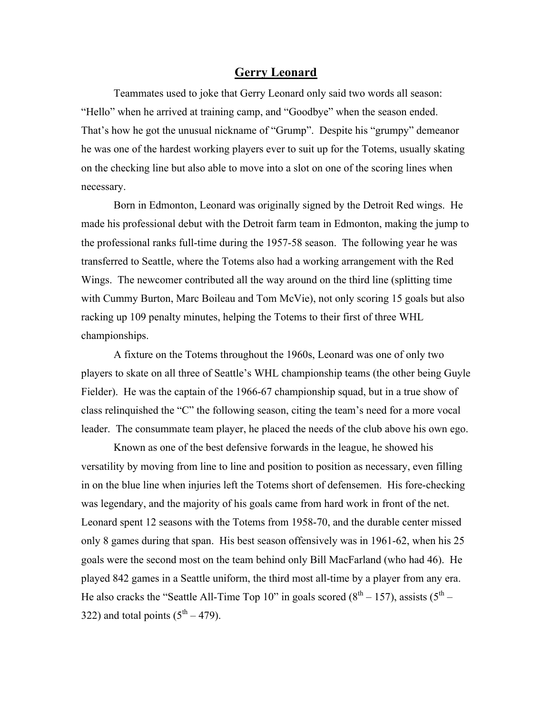## **Gerry Leonard**

Teammates used to joke that Gerry Leonard only said two words all season: "Hello" when he arrived at training camp, and "Goodbye" when the season ended. That's how he got the unusual nickname of "Grump". Despite his "grumpy" demeanor he was one of the hardest working players ever to suit up for the Totems, usually skating on the checking line but also able to move into a slot on one of the scoring lines when necessary.

Born in Edmonton, Leonard was originally signed by the Detroit Red wings. He made his professional debut with the Detroit farm team in Edmonton, making the jump to the professional ranks full-time during the 1957-58 season. The following year he was transferred to Seattle, where the Totems also had a working arrangement with the Red Wings. The newcomer contributed all the way around on the third line (splitting time with Cummy Burton, Marc Boileau and Tom McVie), not only scoring 15 goals but also racking up 109 penalty minutes, helping the Totems to their first of three WHL championships.

A fixture on the Totems throughout the 1960s, Leonard was one of only two players to skate on all three of Seattle's WHL championship teams (the other being Guyle Fielder). He was the captain of the 1966-67 championship squad, but in a true show of class relinquished the "C" the following season, citing the team's need for a more vocal leader. The consummate team player, he placed the needs of the club above his own ego.

Known as one of the best defensive forwards in the league, he showed his versatility by moving from line to line and position to position as necessary, even filling in on the blue line when injuries left the Totems short of defensemen. His fore-checking was legendary, and the majority of his goals came from hard work in front of the net. Leonard spent 12 seasons with the Totems from 1958-70, and the durable center missed only 8 games during that span. His best season offensively was in 1961-62, when his 25 goals were the second most on the team behind only Bill MacFarland (who had 46). He played 842 games in a Seattle uniform, the third most all-time by a player from any era. He also cracks the "Seattle All-Time Top 10" in goals scored  $(8<sup>th</sup> - 157)$ , assists  $(5<sup>th</sup> -$ 322) and total points  $(5<sup>th</sup> – 479)$ .